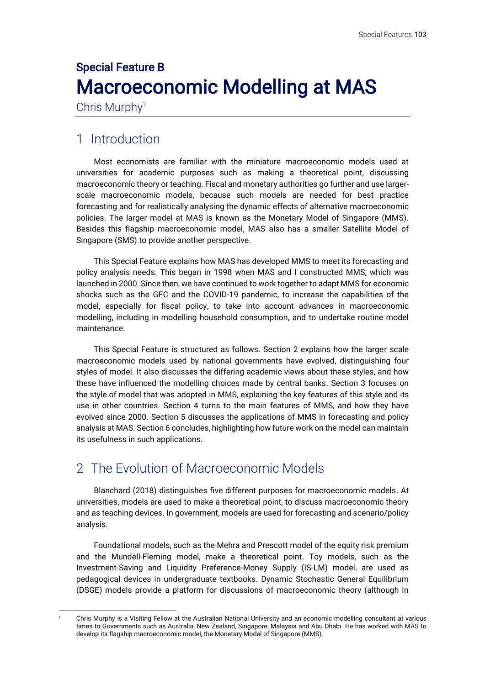# Special Feature B Macroeconomic Modelling at MAS

Chris Murphy<sup>1</sup>

## 1 Introduction

Most economists are familiar with the miniature macroeconomic models used at universities for academic purposes such as making a theoretical point, discussing macroeconomic theory or teaching. Fiscal and monetary authorities go further and use largerscale macroeconomic models, because such models are needed for best practice forecasting and for realistically analysing the dynamic effects of alternative macroeconomic policies. The larger model at MAS is known as the Monetary Model of Singapore (MMS). Besides this flagship macroeconomic model, MAS also has a smaller Satellite Model of Singapore (SMS) to provide another perspective.

This Special Feature explains how MAS has developed MMS to meet its forecasting and policy analysis needs. This began in 1998 when MAS and I constructed MMS, which was launched in 2000. Since then, we have continued to work together to adapt MMS for economic shocks such as the GFC and the COVID-19 pandemic, to increase the capabilities of the model, especially for fiscal policy, to take into account advances in macroeconomic modelling, including in modelling household consumption, and to undertake routine model maintenance.

This Special Feature is structured as follows. Section 2 explains how the larger scale macroeconomic models used by national governments have evolved, distinguishing four styles of model. It also discusses the differing academic views about these styles, and how these have influenced the modelling choices made by central banks. Section 3 focuses on the style of model that was adopted in MMS, explaining the key features of this style and its use in other countries. Section 4 turns to the main features of MMS, and how they have evolved since 2000. Section 5 discusses the applications of MMS in forecasting and policy analysis at MAS. Section 6 concludes, highlighting how future work on the model can maintain its usefulness in such applications.

## 2 The Evolution of Macroeconomic Models

Blanchard (2018) distinguishes five different purposes for macroeconomic models. At universities, models are used to make a theoretical point, to discuss macroeconomic theory and as teaching devices. In government, models are used for forecasting and scenario/policy analysis.

Foundational models, such as the Mehra and Prescott model of the equity risk premium and the Mundell-Fleming model, make a theoretical point. Toy models, such as the Investment-Saving and Liquidity Preference-Money Supply (IS-LM) model, are used as pedagogical devices in undergraduate textbooks. Dynamic Stochastic General Equilibrium (DSGE) models provide a platform for discussions of macroeconomic theory (although in

<sup>1</sup> Chris Murphy is a Visiting Fellow at the Australian National University and an economic modelling consultant at various times to Governments such as Australia, New Zealand, Singapore, Malaysia and Abu Dhabi. He has worked with MAS to develop its flagship macroeconomic model, the Monetary Model of Singapore (MMS).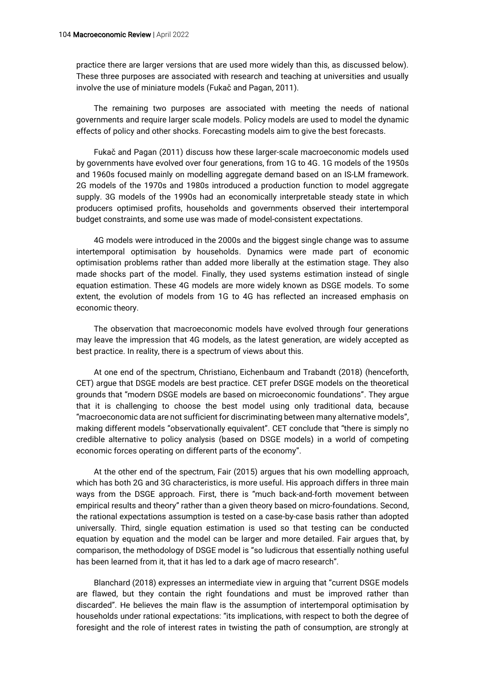practice there are larger versions that are used more widely than this, as discussed below). These three purposes are associated with research and teaching at universities and usually involve the use of miniature models (Fukač and Pagan, 2011).

The remaining two purposes are associated with meeting the needs of national governments and require larger scale models. Policy models are used to model the dynamic effects of policy and other shocks. Forecasting models aim to give the best forecasts.

Fukač and Pagan (2011) discuss how these larger-scale macroeconomic models used by governments have evolved over four generations, from 1G to 4G. 1G models of the 1950s and 1960s focused mainly on modelling aggregate demand based on an IS-LM framework. 2G models of the 1970s and 1980s introduced a production function to model aggregate supply. 3G models of the 1990s had an economically interpretable steady state in which producers optimised profits, households and governments observed their intertemporal budget constraints, and some use was made of model-consistent expectations.

4G models were introduced in the 2000s and the biggest single change was to assume intertemporal optimisation by households. Dynamics were made part of economic optimisation problems rather than added more liberally at the estimation stage. They also made shocks part of the model. Finally, they used systems estimation instead of single equation estimation. These 4G models are more widely known as DSGE models. To some extent, the evolution of models from 1G to 4G has reflected an increased emphasis on economic theory.

The observation that macroeconomic models have evolved through four generations may leave the impression that 4G models, as the latest generation, are widely accepted as best practice. In reality, there is a spectrum of views about this.

At one end of the spectrum, Christiano, Eichenbaum and Trabandt (2018) (henceforth, CET) argue that DSGE models are best practice. CET prefer DSGE models on the theoretical grounds that "modern DSGE models are based on microeconomic foundations". They argue that it is challenging to choose the best model using only traditional data, because "macroeconomic data are not sufficient for discriminating between many alternative models", making different models "observationally equivalent". CET conclude that "there is simply no credible alternative to policy analysis (based on DSGE models) in a world of competing economic forces operating on different parts of the economy".

At the other end of the spectrum, Fair (2015) argues that his own modelling approach, which has both 2G and 3G characteristics, is more useful. His approach differs in three main ways from the DSGE approach. First, there is "much back-and-forth movement between empirical results and theory" rather than a given theory based on micro-foundations. Second, the rational expectations assumption is tested on a case-by-case basis rather than adopted universally. Third, single equation estimation is used so that testing can be conducted equation by equation and the model can be larger and more detailed. Fair argues that, by comparison, the methodology of DSGE model is "so ludicrous that essentially nothing useful has been learned from it, that it has led to a dark age of macro research".

Blanchard (2018) expresses an intermediate view in arguing that "current DSGE models are flawed, but they contain the right foundations and must be improved rather than discarded". He believes the main flaw is the assumption of intertemporal optimisation by households under rational expectations: "its implications, with respect to both the degree of foresight and the role of interest rates in twisting the path of consumption, are strongly at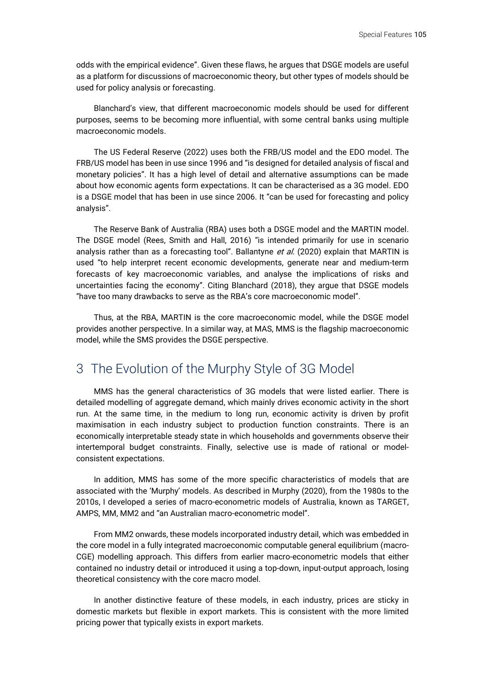odds with the empirical evidence". Given these flaws, he argues that DSGE models are useful as a platform for discussions of macroeconomic theory, but other types of models should be used for policy analysis or forecasting.

Blanchard's view, that different macroeconomic models should be used for different purposes, seems to be becoming more influential, with some central banks using multiple macroeconomic models.

The US Federal Reserve (2022) uses both the FRB/US model and the EDO model. The FRB/US model has been in use since 1996 and "is designed for detailed analysis of fiscal and monetary policies". It has a high level of detail and alternative assumptions can be made about how economic agents form expectations. It can be characterised as a 3G model. EDO is a DSGE model that has been in use since 2006. It "can be used for forecasting and policy analysis".

The Reserve Bank of Australia (RBA) uses both a DSGE model and the MARTIN model. The DSGE model (Rees, Smith and Hall, 2016) "is intended primarily for use in scenario analysis rather than as a forecasting tool". Ballantyne et al. (2020) explain that MARTIN is used "to help interpret recent economic developments, generate near and medium-term forecasts of key macroeconomic variables, and analyse the implications of risks and uncertainties facing the economy". Citing Blanchard (2018), they argue that DSGE models "have too many drawbacks to serve as the RBA's core macroeconomic model".

Thus, at the RBA, MARTIN is the core macroeconomic model, while the DSGE model provides another perspective. In a similar way, at MAS, MMS is the flagship macroeconomic model, while the SMS provides the DSGE perspective.

### 3 The Evolution of the Murphy Style of 3G Model

MMS has the general characteristics of 3G models that were listed earlier. There is detailed modelling of aggregate demand, which mainly drives economic activity in the short run. At the same time, in the medium to long run, economic activity is driven by profit maximisation in each industry subject to production function constraints. There is an economically interpretable steady state in which households and governments observe their intertemporal budget constraints. Finally, selective use is made of rational or modelconsistent expectations.

In addition, MMS has some of the more specific characteristics of models that are associated with the 'Murphy' models. As described in Murphy (2020), from the 1980s to the 2010s, I developed a series of macro-econometric models of Australia, known as TARGET, AMPS, MM, MM2 and "an Australian macro-econometric model".

From MM2 onwards, these models incorporated industry detail, which was embedded in the core model in a fully integrated macroeconomic computable general equilibrium (macro-CGE) modelling approach. This differs from earlier macro-econometric models that either contained no industry detail or introduced it using a top-down, input-output approach, losing theoretical consistency with the core macro model.

In another distinctive feature of these models, in each industry, prices are sticky in domestic markets but flexible in export markets. This is consistent with the more limited pricing power that typically exists in export markets.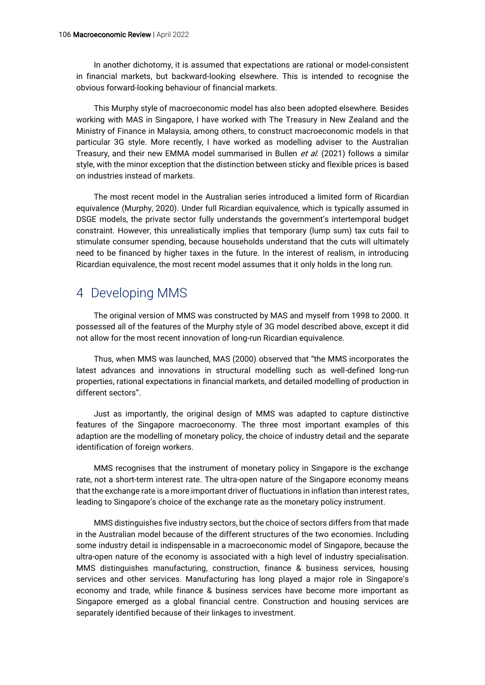In another dichotomy, it is assumed that expectations are rational or model-consistent in financial markets, but backward-looking elsewhere. This is intended to recognise the obvious forward-looking behaviour of financial markets.

This Murphy style of macroeconomic model has also been adopted elsewhere. Besides working with MAS in Singapore, I have worked with The Treasury in New Zealand and the Ministry of Finance in Malaysia, among others, to construct macroeconomic models in that particular 3G style. More recently, I have worked as modelling adviser to the Australian Treasury, and their new EMMA model summarised in Bullen et al. (2021) follows a similar style, with the minor exception that the distinction between sticky and flexible prices is based on industries instead of markets.

The most recent model in the Australian series introduced a limited form of Ricardian equivalence (Murphy, 2020). Under full Ricardian equivalence, which is typically assumed in DSGE models, the private sector fully understands the government's intertemporal budget constraint. However, this unrealistically implies that temporary (lump sum) tax cuts fail to stimulate consumer spending, because households understand that the cuts will ultimately need to be financed by higher taxes in the future. In the interest of realism, in introducing Ricardian equivalence, the most recent model assumes that it only holds in the long run.

## 4 Developing MMS

The original version of MMS was constructed by MAS and myself from 1998 to 2000. It possessed all of the features of the Murphy style of 3G model described above, except it did not allow for the most recent innovation of long-run Ricardian equivalence.

Thus, when MMS was launched, MAS (2000) observed that "the MMS incorporates the latest advances and innovations in structural modelling such as well-defined long-run properties, rational expectations in financial markets, and detailed modelling of production in different sectors".

Just as importantly, the original design of MMS was adapted to capture distinctive features of the Singapore macroeconomy. The three most important examples of this adaption are the modelling of monetary policy, the choice of industry detail and the separate identification of foreign workers.

MMS recognises that the instrument of monetary policy in Singapore is the exchange rate, not a short-term interest rate. The ultra-open nature of the Singapore economy means that the exchange rate is a more important driver of fluctuations in inflation than interest rates, leading to Singapore's choice of the exchange rate as the monetary policy instrument.

MMS distinguishes five industry sectors, but the choice of sectors differs from that made in the Australian model because of the different structures of the two economies. Including some industry detail is indispensable in a macroeconomic model of Singapore, because the ultra-open nature of the economy is associated with a high level of industry specialisation. MMS distinguishes manufacturing, construction, finance & business services, housing services and other services. Manufacturing has long played a major role in Singapore's economy and trade, while finance & business services have become more important as Singapore emerged as a global financial centre. Construction and housing services are separately identified because of their linkages to investment.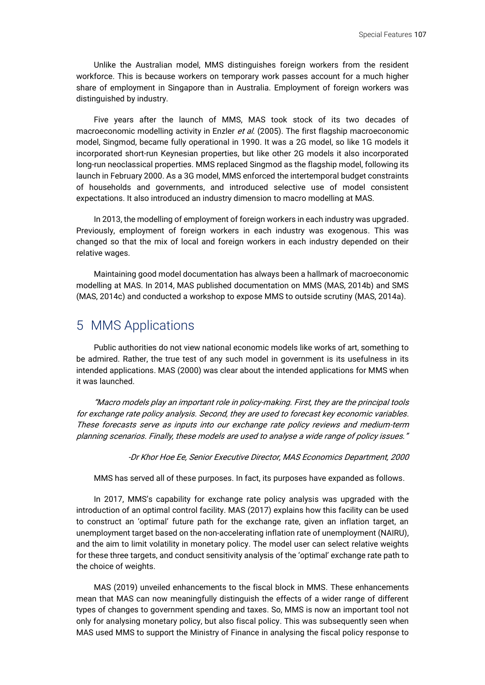Unlike the Australian model, MMS distinguishes foreign workers from the resident workforce. This is because workers on temporary work passes account for a much higher share of employment in Singapore than in Australia. Employment of foreign workers was distinguished by industry.

Five years after the launch of MMS, MAS took stock of its two decades of macroeconomic modelling activity in Enzler et al. (2005). The first flagship macroeconomic model, Singmod, became fully operational in 1990. It was a 2G model, so like 1G models it incorporated short-run Keynesian properties, but like other 2G models it also incorporated long-run neoclassical properties. MMS replaced Singmod as the flagship model, following its launch in February 2000. As a 3G model, MMS enforced the intertemporal budget constraints of households and governments, and introduced selective use of model consistent expectations. It also introduced an industry dimension to macro modelling at MAS.

In 2013, the modelling of employment of foreign workers in each industry was upgraded. Previously, employment of foreign workers in each industry was exogenous. This was changed so that the mix of local and foreign workers in each industry depended on their relative wages.

Maintaining good model documentation has always been a hallmark of macroeconomic modelling at MAS. In 2014, MAS published documentation on MMS (MAS, 2014b) and SMS (MAS, 2014c) and conducted a workshop to expose MMS to outside scrutiny (MAS, 2014a).

#### 5 MMS Applications

Public authorities do not view national economic models like works of art, something to be admired. Rather, the true test of any such model in government is its usefulness in its intended applications. MAS (2000) was clear about the intended applications for MMS when it was launched.

"Macro models play an important role in policy-making. First, they are the principal tools for exchange rate policy analysis. Second, they are used to forecast key economic variables. These forecasts serve as inputs into our exchange rate policy reviews and medium-term planning scenarios. Finally, these models are used to analyse a wide range of policy issues."

-Dr Khor Hoe Ee, Senior Executive Director, MAS Economics Department, 2000

MMS has served all of these purposes. In fact, its purposes have expanded as follows.

In 2017, MMS's capability for exchange rate policy analysis was upgraded with the introduction of an optimal control facility. MAS (2017) explains how this facility can be used to construct an 'optimal' future path for the exchange rate, given an inflation target, an unemployment target based on the non-accelerating inflation rate of unemployment (NAIRU), and the aim to limit volatility in monetary policy. The model user can select relative weights for these three targets, and conduct sensitivity analysis of the 'optimal' exchange rate path to the choice of weights.

MAS (2019) unveiled enhancements to the fiscal block in MMS. These enhancements mean that MAS can now meaningfully distinguish the effects of a wider range of different types of changes to government spending and taxes. So, MMS is now an important tool not only for analysing monetary policy, but also fiscal policy. This was subsequently seen when MAS used MMS to support the Ministry of Finance in analysing the fiscal policy response to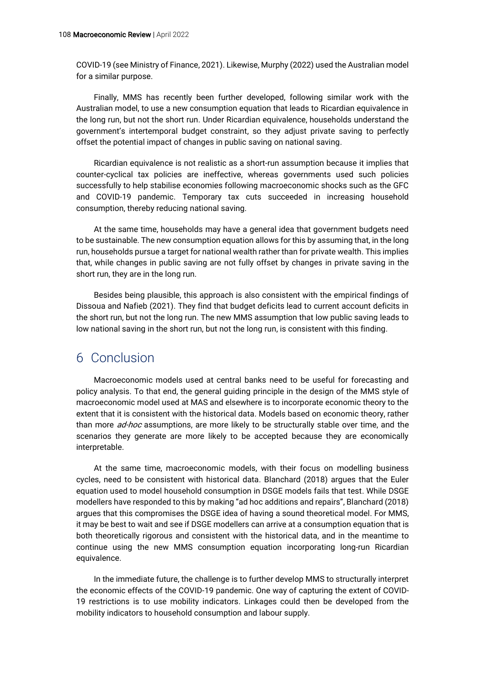COVID-19 (see Ministry of Finance, 2021). Likewise, Murphy (2022) used the Australian model for a similar purpose.

Finally, MMS has recently been further developed, following similar work with the Australian model, to use a new consumption equation that leads to Ricardian equivalence in the long run, but not the short run. Under Ricardian equivalence, households understand the government's intertemporal budget constraint, so they adjust private saving to perfectly offset the potential impact of changes in public saving on national saving.

Ricardian equivalence is not realistic as a short-run assumption because it implies that counter-cyclical tax policies are ineffective, whereas governments used such policies successfully to help stabilise economies following macroeconomic shocks such as the GFC and COVID-19 pandemic. Temporary tax cuts succeeded in increasing household consumption, thereby reducing national saving.

At the same time, households may have a general idea that government budgets need to be sustainable. The new consumption equation allows for this by assuming that, in the long run, households pursue a target for national wealth rather than for private wealth. This implies that, while changes in public saving are not fully offset by changes in private saving in the short run, they are in the long run.

Besides being plausible, this approach is also consistent with the empirical findings of Dissoua and Nafieb (2021). They find that budget deficits lead to current account deficits in the short run, but not the long run. The new MMS assumption that low public saving leads to low national saving in the short run, but not the long run, is consistent with this finding.

#### 6 Conclusion

Macroeconomic models used at central banks need to be useful for forecasting and policy analysis. To that end, the general guiding principle in the design of the MMS style of macroeconomic model used at MAS and elsewhere is to incorporate economic theory to the extent that it is consistent with the historical data. Models based on economic theory, rather than more *ad-hoc* assumptions, are more likely to be structurally stable over time, and the scenarios they generate are more likely to be accepted because they are economically interpretable.

At the same time, macroeconomic models, with their focus on modelling business cycles, need to be consistent with historical data. Blanchard (2018) argues that the Euler equation used to model household consumption in DSGE models fails that test. While DSGE modellers have responded to this by making "ad hoc additions and repairs", Blanchard (2018) argues that this compromises the DSGE idea of having a sound theoretical model. For MMS, it may be best to wait and see if DSGE modellers can arrive at a consumption equation that is both theoretically rigorous and consistent with the historical data, and in the meantime to continue using the new MMS consumption equation incorporating long-run Ricardian equivalence.

In the immediate future, the challenge is to further develop MMS to structurally interpret the economic effects of the COVID-19 pandemic. One way of capturing the extent of COVID-19 restrictions is to use mobility indicators. Linkages could then be developed from the mobility indicators to household consumption and labour supply.